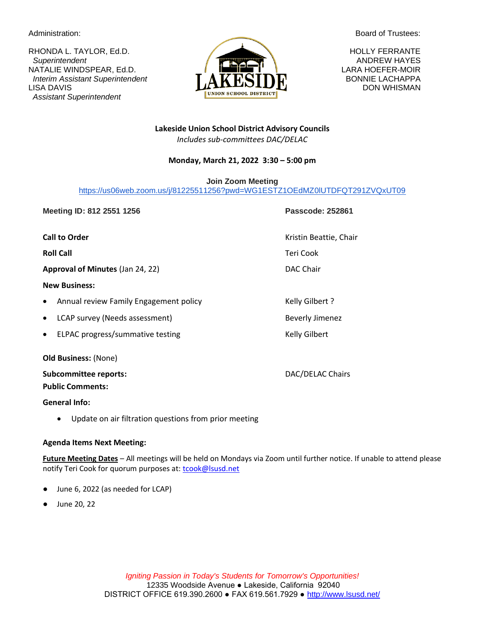RHONDA L. TAYLOR, Ed.D. **HOLLY FERRANTE**  *Superintendent* ANDREW HAYES NATALIE WINDSPEAR, Ed.D. **LARA HOEFER-MOIR** *Interim Assistant Superintendent* **BONNIE LACHAPPA BONNIE LACHAPPA** LISA DAVIS DON WHISMAN  *Assistant Superintendent*



Administration: **Board of Trustees:** Administration:

**Lakeside Union School District Advisory Councils** *Includes sub-committees DAC/DELAC*

## **Monday, March 21, 2022 3:30 – 5:00 pm**

**Join Zoom Meeting**

[https://us06web.zoom.us/j/81225511256?pwd=WG1ESTZ1OEdMZ0lUTDFQT291ZVQxUT09](https://www.google.com/url?q=https%3A%2F%2Fus06web.zoom.us%2Fj%2F81225511256%3Fpwd%3DWG1ESTZ1OEdMZ0lUTDFQT291ZVQxUT09&sa=D&ust=1647892598334000&usg=AOvVaw0W_6ChvBp4mTrl88UaUs-3)

**Meeting ID: 812 2551 1256 Passcode: 252861 Call to Order** Chair Chair Chair Chair Chair Chair Chair Chair Chair Chair Chair Chair Chair Chair Chair Chair Chair Chair Chair Chair Chair Chair Chair Chair Chair Chair Chair Chair Chair Chair Chair Chair Chair Chair Ch **Roll Call** Teri Cook **Approval of Minutes** (Jan 24, 22) DAC Chair **New Business:**  Annual review Family Engagement policy entitled and the Kelly Gilbert ? **LCAP survey (Needs assessment)** Beverly Jimenez ELPAC progress/summative testing example and the Kelly Gilbert **Old Business:** (None)

**Subcommittee reports:**  $DAC/DELAC$  Chairs **Public Comments:**

**General Info:**

• Update on air filtration questions from prior meeting

## **Agenda Items Next Meeting:**

**Future Meeting Dates** – All meetings will be held on Mondays via Zoom until further notice. If unable to attend please notify Teri Cook for quorum purposes at[: tcook@lsusd.net](mailto:tcook@lsusd.net)

- June 6, 2022 (as needed for LCAP)
- June 20, 22